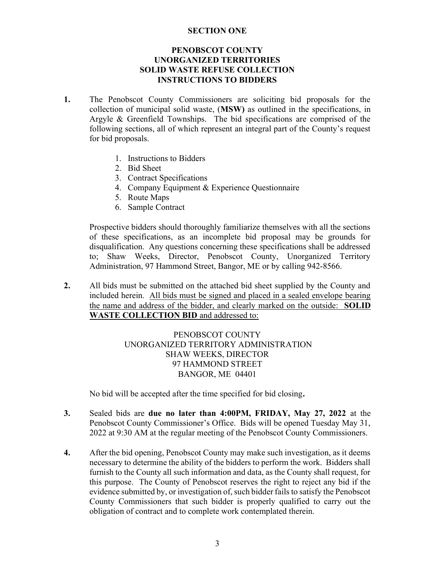#### SECTION ONE

#### PENOBSCOT COUNTY UNORGANIZED TERRITORIES SOLID WASTE REFUSE COLLECTION INSTRUCTIONS TO BIDDERS

- 1. The Penobscot County Commissioners are soliciting bid proposals for the collection of municipal solid waste, (MSW) as outlined in the specifications, in Argyle & Greenfield Townships. The bid specifications are comprised of the following sections, all of which represent an integral part of the County's request for bid proposals.
	- 1. Instructions to Bidders
	- 2. Bid Sheet
	- 3. Contract Specifications
	- 4. Company Equipment & Experience Questionnaire
	- 5. Route Maps
	- 6. Sample Contract

Prospective bidders should thoroughly familiarize themselves with all the sections of these specifications, as an incomplete bid proposal may be grounds for disqualification. Any questions concerning these specifications shall be addressed to; Shaw Weeks, Director, Penobscot County, Unorganized Territory Administration, 97 Hammond Street, Bangor, ME or by calling 942-8566.

2. All bids must be submitted on the attached bid sheet supplied by the County and included herein. All bids must be signed and placed in a sealed envelope bearing the name and address of the bidder, and clearly marked on the outside: SOLID WASTE COLLECTION BID and addressed to:

> PENOBSCOT COUNTY UNORGANIZED TERRITORY ADMINISTRATION SHAW WEEKS, DIRECTOR 97 HAMMOND STREET BANGOR, ME 04401

No bid will be accepted after the time specified for bid closing.

- 3. Sealed bids are due no later than 4:00PM, FRIDAY, May 27, 2022 at the Penobscot County Commissioner's Office. Bids will be opened Tuesday May 31, 2022 at 9:30 AM at the regular meeting of the Penobscot County Commissioners.
- 4. After the bid opening, Penobscot County may make such investigation, as it deems necessary to determine the ability of the bidders to perform the work. Bidders shall furnish to the County all such information and data, as the County shall request, for this purpose. The County of Penobscot reserves the right to reject any bid if the evidence submitted by, or investigation of, such bidder fails to satisfy the Penobscot County Commissioners that such bidder is properly qualified to carry out the obligation of contract and to complete work contemplated therein.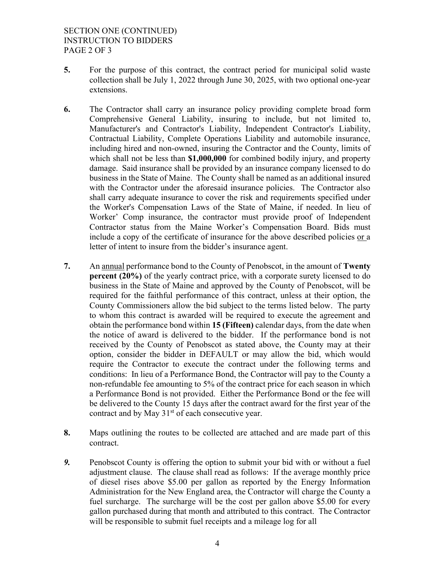## SECTION ONE (CONTINUED) INSTRUCTION TO BIDDERS PAGE 2 OF 3

- 5. For the purpose of this contract, the contract period for municipal solid waste collection shall be July 1, 2022 through June 30, 2025, with two optional one-year extensions.
- 6. The Contractor shall carry an insurance policy providing complete broad form Comprehensive General Liability, insuring to include, but not limited to, Manufacturer's and Contractor's Liability, Independent Contractor's Liability, Contractual Liability, Complete Operations Liability and automobile insurance, including hired and non-owned, insuring the Contractor and the County, limits of which shall not be less than \$1,000,000 for combined bodily injury, and property damage. Said insurance shall be provided by an insurance company licensed to do business in the State of Maine. The County shall be named as an additional insured with the Contractor under the aforesaid insurance policies. The Contractor also shall carry adequate insurance to cover the risk and requirements specified under the Worker's Compensation Laws of the State of Maine, if needed. In lieu of Worker' Comp insurance, the contractor must provide proof of Independent Contractor status from the Maine Worker's Compensation Board. Bids must include a copy of the certificate of insurance for the above described policies or a letter of intent to insure from the bidder's insurance agent.
- 7. An annual performance bond to the County of Penobscot, in the amount of Twenty percent (20%) of the yearly contract price, with a corporate surety licensed to do business in the State of Maine and approved by the County of Penobscot, will be required for the faithful performance of this contract, unless at their option, the County Commissioners allow the bid subject to the terms listed below. The party to whom this contract is awarded will be required to execute the agreement and obtain the performance bond within 15 (Fifteen) calendar days, from the date when the notice of award is delivered to the bidder. If the performance bond is not received by the County of Penobscot as stated above, the County may at their option, consider the bidder in DEFAULT or may allow the bid, which would require the Contractor to execute the contract under the following terms and conditions: In lieu of a Performance Bond, the Contractor will pay to the County a non-refundable fee amounting to 5% of the contract price for each season in which a Performance Bond is not provided. Either the Performance Bond or the fee will be delivered to the County 15 days after the contract award for the first year of the contract and by May  $31<sup>st</sup>$  of each consecutive year.
- 8. Maps outlining the routes to be collected are attached and are made part of this contract.
- 9. Penobscot County is offering the option to submit your bid with or without a fuel adjustment clause. The clause shall read as follows: If the average monthly price of diesel rises above \$5.00 per gallon as reported by the Energy Information Administration for the New England area, the Contractor will charge the County a fuel surcharge. The surcharge will be the cost per gallon above \$5.00 for every gallon purchased during that month and attributed to this contract. The Contractor will be responsible to submit fuel receipts and a mileage log for all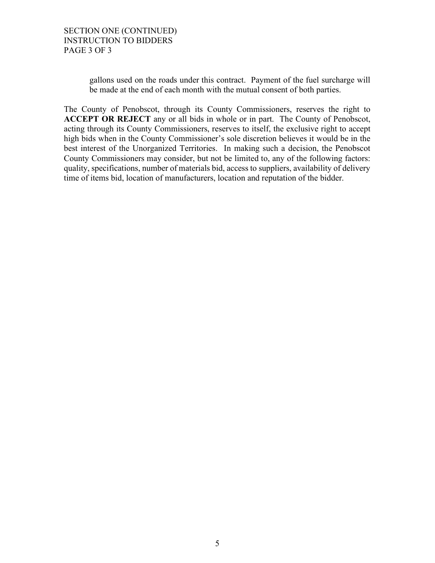gallons used on the roads under this contract. Payment of the fuel surcharge will be made at the end of each month with the mutual consent of both parties.

The County of Penobscot, through its County Commissioners, reserves the right to ACCEPT OR REJECT any or all bids in whole or in part. The County of Penobscot, acting through its County Commissioners, reserves to itself, the exclusive right to accept high bids when in the County Commissioner's sole discretion believes it would be in the best interest of the Unorganized Territories. In making such a decision, the Penobscot County Commissioners may consider, but not be limited to, any of the following factors: quality, specifications, number of materials bid, access to suppliers, availability of delivery time of items bid, location of manufacturers, location and reputation of the bidder.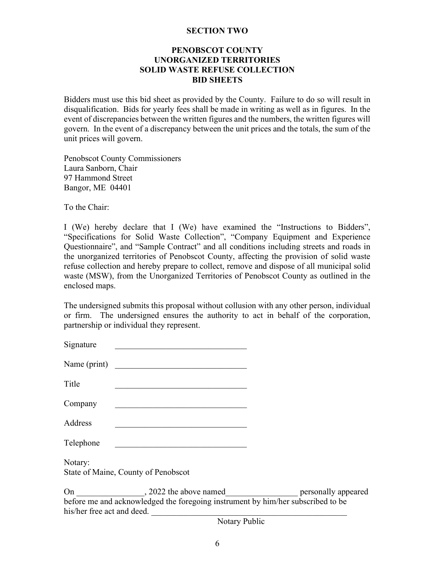#### SECTION TWO

#### PENOBSCOT COUNTY UNORGANIZED TERRITORIES SOLID WASTE REFUSE COLLECTION BID SHEETS

Bidders must use this bid sheet as provided by the County. Failure to do so will result in disqualification. Bids for yearly fees shall be made in writing as well as in figures. In the event of discrepancies between the written figures and the numbers, the written figures will govern. In the event of a discrepancy between the unit prices and the totals, the sum of the unit prices will govern.

Penobscot County Commissioners Laura Sanborn, Chair 97 Hammond Street Bangor, ME 04401

To the Chair:

I (We) hereby declare that I (We) have examined the "Instructions to Bidders", "Specifications for Solid Waste Collection", "Company Equipment and Experience Questionnaire", and "Sample Contract" and all conditions including streets and roads in the unorganized territories of Penobscot County, affecting the provision of solid waste refuse collection and hereby prepare to collect, remove and dispose of all municipal solid waste (MSW), from the Unorganized Territories of Penobscot County as outlined in the enclosed maps.

The undersigned submits this proposal without collusion with any other person, individual or firm. The undersigned ensures the authority to act in behalf of the corporation, partnership or individual they represent.

| Signature    |  |
|--------------|--|
| Name (print) |  |
| Title        |  |
| Company      |  |
| Address      |  |
| Telephone    |  |
| Notary:      |  |

State of Maine, County of Penobscot

On \_\_\_\_\_\_\_\_\_\_\_\_\_\_\_, 2022 the above named\_\_\_\_\_\_\_\_\_\_\_\_\_\_\_\_\_\_\_\_\_\_ personally appeared before me and acknowledged the foregoing instrument by him/her subscribed to be his/her free act and deed.

Notary Public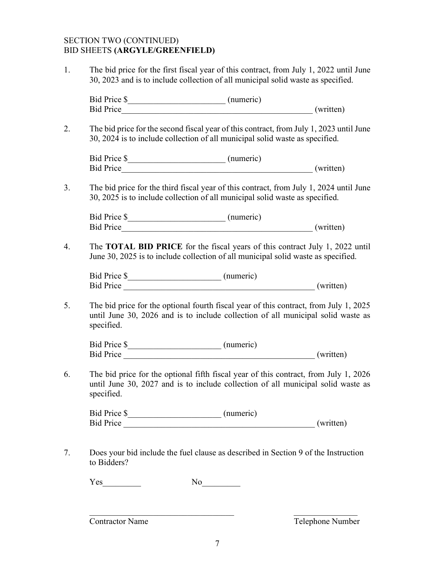## SECTION TWO (CONTINUED) BID SHEETS (ARGYLE/GREENFIELD)

1. The bid price for the first fiscal year of this contract, from July 1, 2022 until June 30, 2023 and is to include collection of all municipal solid waste as specified.

|    | Bid Price                                                                                                                                                                               |           | (written) |
|----|-----------------------------------------------------------------------------------------------------------------------------------------------------------------------------------------|-----------|-----------|
|    |                                                                                                                                                                                         |           |           |
| 2. | The bid price for the second fiscal year of this contract, from July 1, 2023 until June<br>30, 2024 is to include collection of all municipal solid waste as specified.                 |           |           |
|    | Bid Price                                                                                                                                                                               |           | (written) |
| 3. | The bid price for the third fiscal year of this contract, from July 1, 2024 until June<br>30, 2025 is to include collection of all municipal solid waste as specified.                  |           |           |
|    |                                                                                                                                                                                         |           |           |
|    |                                                                                                                                                                                         |           | (written) |
| 4. | The <b>TOTAL BID PRICE</b> for the fiscal years of this contract July 1, 2022 until<br>June 30, 2025 is to include collection of all municipal solid waste as specified.                |           |           |
|    |                                                                                                                                                                                         |           |           |
|    | Bid Price (written)                                                                                                                                                                     |           |           |
| 5. | The bid price for the optional fourth fiscal year of this contract, from July 1, 2025<br>until June 30, 2026 and is to include collection of all municipal solid waste as<br>specified. |           |           |
|    | Bid Price \$                                                                                                                                                                            | (numeric) |           |

6. The bid price for the optional fifth fiscal year of this contract, from July 1, 2026 until June 30, 2027 and is to include collection of all municipal solid waste as specified.

Bid Price (written)

| Bid Price \$     | $(n$ umeric $)$ |           |
|------------------|-----------------|-----------|
| <b>Bid Price</b> |                 | (written) |

7. Does your bid include the fuel clause as described in Section 9 of the Instruction to Bidders?

Yes\_\_\_\_\_\_\_\_\_ No\_\_\_\_\_\_\_\_\_

Contractor Name Telephone Number

 $\mathcal{L}_\text{max}$  , and the contract of the contract of the contract of the contract of the contract of the contract of the contract of the contract of the contract of the contract of the contract of the contract of the contr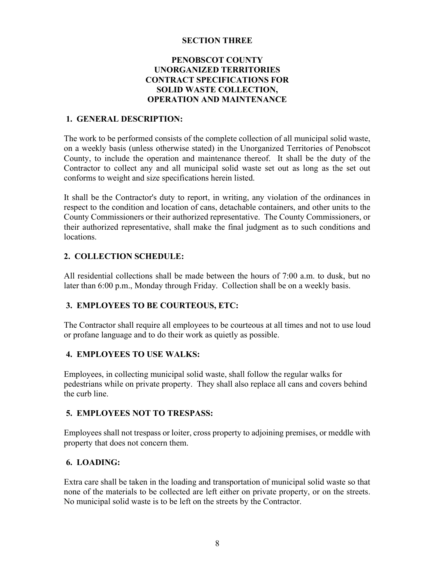#### SECTION THREE

# PENOBSCOT COUNTY UNORGANIZED TERRITORIES CONTRACT SPECIFICATIONS FOR SOLID WASTE COLLECTION, OPERATION AND MAINTENANCE

#### 1. GENERAL DESCRIPTION:

The work to be performed consists of the complete collection of all municipal solid waste, on a weekly basis (unless otherwise stated) in the Unorganized Territories of Penobscot County, to include the operation and maintenance thereof. It shall be the duty of the Contractor to collect any and all municipal solid waste set out as long as the set out conforms to weight and size specifications herein listed.

It shall be the Contractor's duty to report, in writing, any violation of the ordinances in respect to the condition and location of cans, detachable containers, and other units to the County Commissioners or their authorized representative. The County Commissioners, or their authorized representative, shall make the final judgment as to such conditions and locations.

## 2. COLLECTION SCHEDULE:

All residential collections shall be made between the hours of 7:00 a.m. to dusk, but no later than 6:00 p.m., Monday through Friday. Collection shall be on a weekly basis.

#### 3. EMPLOYEES TO BE COURTEOUS, ETC:

The Contractor shall require all employees to be courteous at all times and not to use loud or profane language and to do their work as quietly as possible.

#### 4. EMPLOYEES TO USE WALKS:

Employees, in collecting municipal solid waste, shall follow the regular walks for pedestrians while on private property. They shall also replace all cans and covers behind the curb line.

#### 5. EMPLOYEES NOT TO TRESPASS:

Employees shall not trespass or loiter, cross property to adjoining premises, or meddle with property that does not concern them.

#### 6. LOADING:

Extra care shall be taken in the loading and transportation of municipal solid waste so that none of the materials to be collected are left either on private property, or on the streets. No municipal solid waste is to be left on the streets by the Contractor.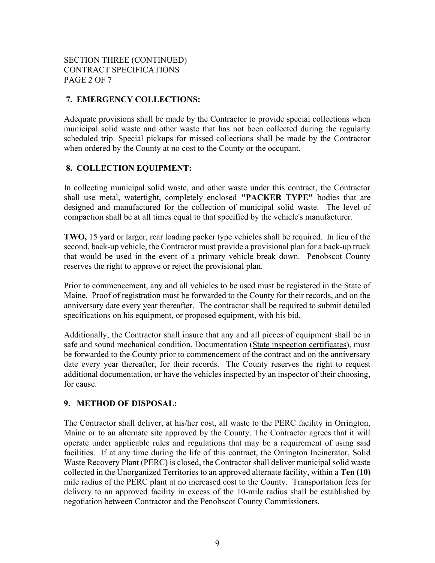# 7. EMERGENCY COLLECTIONS:

Adequate provisions shall be made by the Contractor to provide special collections when municipal solid waste and other waste that has not been collected during the regularly scheduled trip. Special pickups for missed collections shall be made by the Contractor when ordered by the County at no cost to the County or the occupant.

## 8. COLLECTION EQUIPMENT:

In collecting municipal solid waste, and other waste under this contract, the Contractor shall use metal, watertight, completely enclosed "PACKER TYPE" bodies that are designed and manufactured for the collection of municipal solid waste. The level of compaction shall be at all times equal to that specified by the vehicle's manufacturer.

TWO, 15 yard or larger, rear loading packer type vehicles shall be required. In lieu of the second, back-up vehicle, the Contractor must provide a provisional plan for a back-up truck that would be used in the event of a primary vehicle break down. Penobscot County reserves the right to approve or reject the provisional plan.

Prior to commencement, any and all vehicles to be used must be registered in the State of Maine. Proof of registration must be forwarded to the County for their records, and on the anniversary date every year thereafter. The contractor shall be required to submit detailed specifications on his equipment, or proposed equipment, with his bid.

Additionally, the Contractor shall insure that any and all pieces of equipment shall be in safe and sound mechanical condition. Documentation (State inspection certificates), must be forwarded to the County prior to commencement of the contract and on the anniversary date every year thereafter, for their records. The County reserves the right to request additional documentation, or have the vehicles inspected by an inspector of their choosing, for cause.

# 9. METHOD OF DISPOSAL:

The Contractor shall deliver, at his/her cost, all waste to the PERC facility in Orrington, Maine or to an alternate site approved by the County. The Contractor agrees that it will operate under applicable rules and regulations that may be a requirement of using said facilities. If at any time during the life of this contract, the Orrington Incinerator, Solid Waste Recovery Plant (PERC) is closed, the Contractor shall deliver municipal solid waste collected in the Unorganized Territories to an approved alternate facility, within a Ten (10) mile radius of the PERC plant at no increased cost to the County. Transportation fees for delivery to an approved facility in excess of the 10-mile radius shall be established by negotiation between Contractor and the Penobscot County Commissioners.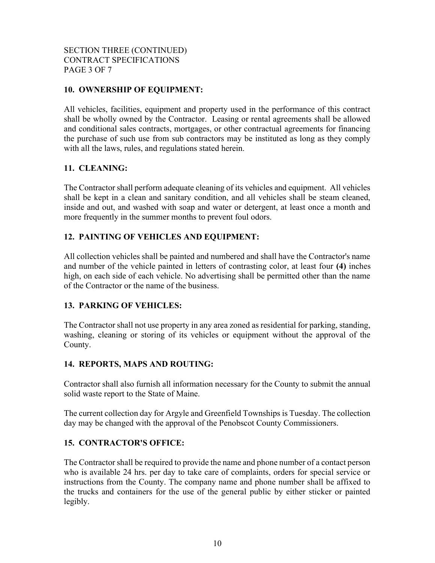# SECTION THREE (CONTINUED) CONTRACT SPECIFICATIONS PAGE 3 OF 7

# 10. OWNERSHIP OF EQUIPMENT:

All vehicles, facilities, equipment and property used in the performance of this contract shall be wholly owned by the Contractor. Leasing or rental agreements shall be allowed and conditional sales contracts, mortgages, or other contractual agreements for financing the purchase of such use from sub contractors may be instituted as long as they comply with all the laws, rules, and regulations stated herein.

# 11. CLEANING:

The Contractor shall perform adequate cleaning of its vehicles and equipment. All vehicles shall be kept in a clean and sanitary condition, and all vehicles shall be steam cleaned, inside and out, and washed with soap and water or detergent, at least once a month and more frequently in the summer months to prevent foul odors.

# 12. PAINTING OF VEHICLES AND EQUIPMENT:

All collection vehicles shall be painted and numbered and shall have the Contractor's name and number of the vehicle painted in letters of contrasting color, at least four (4) inches high, on each side of each vehicle. No advertising shall be permitted other than the name of the Contractor or the name of the business.

# 13. PARKING OF VEHICLES:

The Contractor shall not use property in any area zoned as residential for parking, standing, washing, cleaning or storing of its vehicles or equipment without the approval of the County.

# 14. REPORTS, MAPS AND ROUTING:

Contractor shall also furnish all information necessary for the County to submit the annual solid waste report to the State of Maine.

The current collection day for Argyle and Greenfield Townships is Tuesday. The collection day may be changed with the approval of the Penobscot County Commissioners.

# 15. CONTRACTOR'S OFFICE:

The Contractor shall be required to provide the name and phone number of a contact person who is available 24 hrs. per day to take care of complaints, orders for special service or instructions from the County. The company name and phone number shall be affixed to the trucks and containers for the use of the general public by either sticker or painted legibly.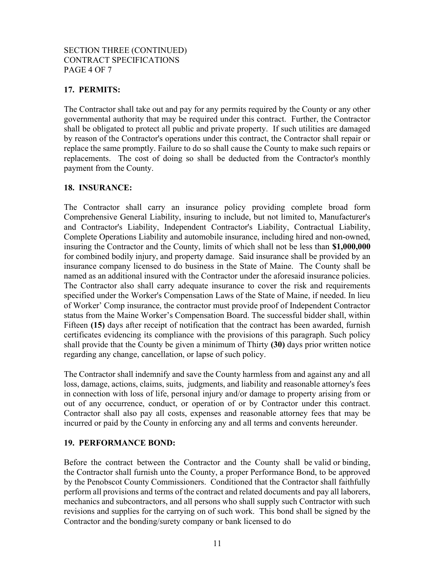## SECTION THREE (CONTINUED) CONTRACT SPECIFICATIONS PAGE 4 OF 7

# 17. PERMITS:

The Contractor shall take out and pay for any permits required by the County or any other governmental authority that may be required under this contract. Further, the Contractor shall be obligated to protect all public and private property. If such utilities are damaged by reason of the Contractor's operations under this contract, the Contractor shall repair or replace the same promptly. Failure to do so shall cause the County to make such repairs or replacements. The cost of doing so shall be deducted from the Contractor's monthly payment from the County.

## 18. INSURANCE:

The Contractor shall carry an insurance policy providing complete broad form Comprehensive General Liability, insuring to include, but not limited to, Manufacturer's and Contractor's Liability, Independent Contractor's Liability, Contractual Liability, Complete Operations Liability and automobile insurance, including hired and non-owned, insuring the Contractor and the County, limits of which shall not be less than \$1,000,000 for combined bodily injury, and property damage. Said insurance shall be provided by an insurance company licensed to do business in the State of Maine. The County shall be named as an additional insured with the Contractor under the aforesaid insurance policies. The Contractor also shall carry adequate insurance to cover the risk and requirements specified under the Worker's Compensation Laws of the State of Maine, if needed. In lieu of Worker' Comp insurance, the contractor must provide proof of Independent Contractor status from the Maine Worker's Compensation Board. The successful bidder shall, within Fifteen (15) days after receipt of notification that the contract has been awarded, furnish certificates evidencing its compliance with the provisions of this paragraph. Such policy shall provide that the County be given a minimum of Thirty (30) days prior written notice regarding any change, cancellation, or lapse of such policy.

The Contractor shall indemnify and save the County harmless from and against any and all loss, damage, actions, claims, suits, judgments, and liability and reasonable attorney's fees in connection with loss of life, personal injury and/or damage to property arising from or out of any occurrence, conduct, or operation of or by Contractor under this contract. Contractor shall also pay all costs, expenses and reasonable attorney fees that may be incurred or paid by the County in enforcing any and all terms and convents hereunder.

# 19. PERFORMANCE BOND:

Before the contract between the Contractor and the County shall be valid or binding, the Contractor shall furnish unto the County, a proper Performance Bond, to be approved by the Penobscot County Commissioners. Conditioned that the Contractor shall faithfully perform all provisions and terms of the contract and related documents and pay all laborers, mechanics and subcontractors, and all persons who shall supply such Contractor with such revisions and supplies for the carrying on of such work. This bond shall be signed by the Contractor and the bonding/surety company or bank licensed to do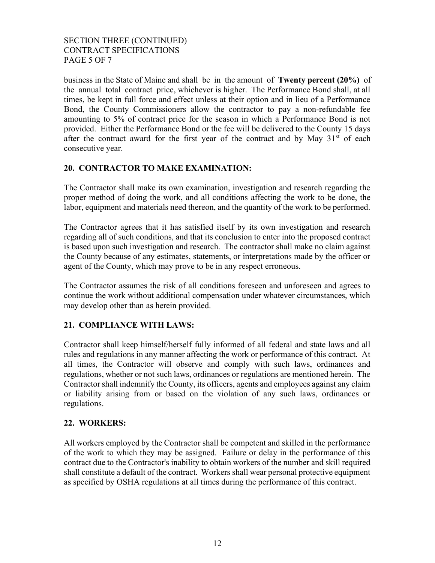# SECTION THREE (CONTINUED) CONTRACT SPECIFICATIONS PAGE 5 OF 7

business in the State of Maine and shall be in the amount of Twenty percent (20%) of the annual total contract price, whichever is higher. The Performance Bond shall, at all times, be kept in full force and effect unless at their option and in lieu of a Performance Bond, the County Commissioners allow the contractor to pay a non-refundable fee amounting to 5% of contract price for the season in which a Performance Bond is not provided. Either the Performance Bond or the fee will be delivered to the County 15 days after the contract award for the first year of the contract and by May  $31<sup>st</sup>$  of each consecutive year.

## 20. CONTRACTOR TO MAKE EXAMINATION:

The Contractor shall make its own examination, investigation and research regarding the proper method of doing the work, and all conditions affecting the work to be done, the labor, equipment and materials need thereon, and the quantity of the work to be performed.

The Contractor agrees that it has satisfied itself by its own investigation and research regarding all of such conditions, and that its conclusion to enter into the proposed contract is based upon such investigation and research. The contractor shall make no claim against the County because of any estimates, statements, or interpretations made by the officer or agent of the County, which may prove to be in any respect erroneous.

The Contractor assumes the risk of all conditions foreseen and unforeseen and agrees to continue the work without additional compensation under whatever circumstances, which may develop other than as herein provided.

# 21. COMPLIANCE WITH LAWS:

Contractor shall keep himself/herself fully informed of all federal and state laws and all rules and regulations in any manner affecting the work or performance of this contract. At all times, the Contractor will observe and comply with such laws, ordinances and regulations, whether or not such laws, ordinances or regulations are mentioned herein. The Contractor shall indemnify the County, its officers, agents and employees against any claim or liability arising from or based on the violation of any such laws, ordinances or regulations.

#### 22. WORKERS:

All workers employed by the Contractor shall be competent and skilled in the performance of the work to which they may be assigned. Failure or delay in the performance of this contract due to the Contractor's inability to obtain workers of the number and skill required shall constitute a default of the contract. Workers shall wear personal protective equipment as specified by OSHA regulations at all times during the performance of this contract.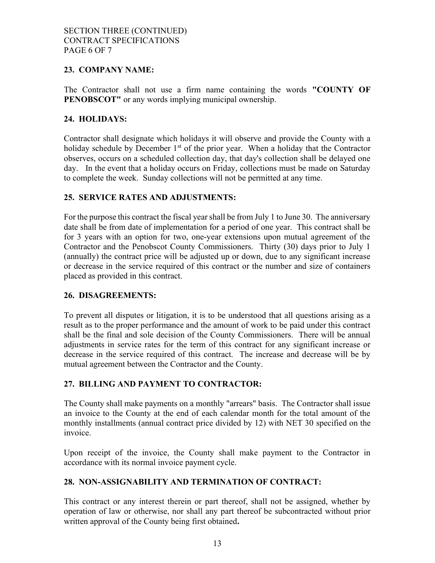# 23. COMPANY NAME:

The Contractor shall not use a firm name containing the words "COUNTY OF PENOBSCOT" or any words implying municipal ownership.

# 24. HOLIDAYS:

Contractor shall designate which holidays it will observe and provide the County with a holiday schedule by December  $1<sup>st</sup>$  of the prior year. When a holiday that the Contractor observes, occurs on a scheduled collection day, that day's collection shall be delayed one day. In the event that a holiday occurs on Friday, collections must be made on Saturday to complete the week. Sunday collections will not be permitted at any time.

# 25. SERVICE RATES AND ADJUSTMENTS:

For the purpose this contract the fiscal year shall be from July 1 to June 30. The anniversary date shall be from date of implementation for a period of one year. This contract shall be for 3 years with an option for two, one-year extensions upon mutual agreement of the Contractor and the Penobscot County Commissioners. Thirty (30) days prior to July 1 (annually) the contract price will be adjusted up or down, due to any significant increase or decrease in the service required of this contract or the number and size of containers placed as provided in this contract.

#### 26. DISAGREEMENTS:

To prevent all disputes or litigation, it is to be understood that all questions arising as a result as to the proper performance and the amount of work to be paid under this contract shall be the final and sole decision of the County Commissioners. There will be annual adjustments in service rates for the term of this contract for any significant increase or decrease in the service required of this contract. The increase and decrease will be by mutual agreement between the Contractor and the County.

# 27. BILLING AND PAYMENT TO CONTRACTOR:

The County shall make payments on a monthly "arrears" basis. The Contractor shall issue an invoice to the County at the end of each calendar month for the total amount of the monthly installments (annual contract price divided by 12) with NET 30 specified on the invoice.

Upon receipt of the invoice, the County shall make payment to the Contractor in accordance with its normal invoice payment cycle.

# 28. NON-ASSIGNABILITY AND TERMINATION OF CONTRACT:

This contract or any interest therein or part thereof, shall not be assigned, whether by operation of law or otherwise, nor shall any part thereof be subcontracted without prior written approval of the County being first obtained.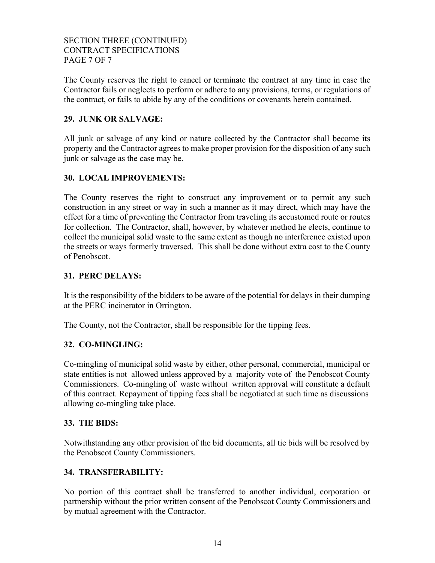SECTION THREE (CONTINUED) CONTRACT SPECIFICATIONS PAGE 7 OF 7

The County reserves the right to cancel or terminate the contract at any time in case the Contractor fails or neglects to perform or adhere to any provisions, terms, or regulations of the contract, or fails to abide by any of the conditions or covenants herein contained.

# 29. JUNK OR SALVAGE:

All junk or salvage of any kind or nature collected by the Contractor shall become its property and the Contractor agrees to make proper provision for the disposition of any such junk or salvage as the case may be.

## 30. LOCAL IMPROVEMENTS:

The County reserves the right to construct any improvement or to permit any such construction in any street or way in such a manner as it may direct, which may have the effect for a time of preventing the Contractor from traveling its accustomed route or routes for collection. The Contractor, shall, however, by whatever method he elects, continue to collect the municipal solid waste to the same extent as though no interference existed upon the streets or ways formerly traversed. This shall be done without extra cost to the County of Penobscot.

## 31. PERC DELAYS:

It is the responsibility of the bidders to be aware of the potential for delays in their dumping at the PERC incinerator in Orrington.

The County, not the Contractor, shall be responsible for the tipping fees.

# 32. CO-MINGLING:

Co-mingling of municipal solid waste by either, other personal, commercial, municipal or state entities is not allowed unless approved by a majority vote of the Penobscot County Commissioners. Co-mingling of waste without written approval will constitute a default of this contract. Repayment of tipping fees shall be negotiated at such time as discussions allowing co-mingling take place.

#### 33. TIE BIDS:

Notwithstanding any other provision of the bid documents, all tie bids will be resolved by the Penobscot County Commissioners.

#### 34. TRANSFERABILITY:

No portion of this contract shall be transferred to another individual, corporation or partnership without the prior written consent of the Penobscot County Commissioners and by mutual agreement with the Contractor.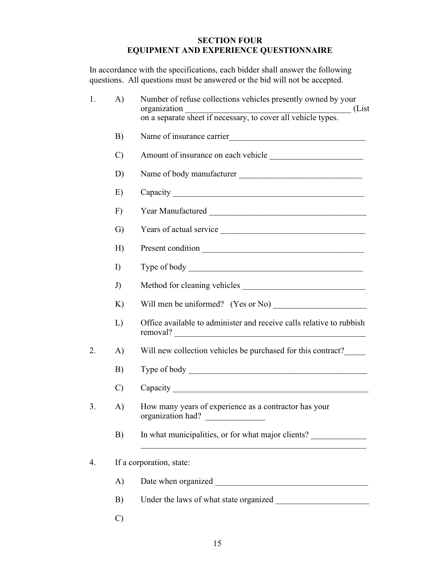# SECTION FOUR EQUIPMENT AND EXPERIENCE QUESTIONNAIRE

In accordance with the specifications, each bidder shall answer the following questions. All questions must be answered or the bid will not be accepted.

| 1. | A)            | Number of refuse collections vehicles presently owned by your<br>(List)<br>on a separate sheet if necessary, to cover all vehicle types.                                                                                       |
|----|---------------|--------------------------------------------------------------------------------------------------------------------------------------------------------------------------------------------------------------------------------|
|    | B)            |                                                                                                                                                                                                                                |
|    | $\mathcal{C}$ | Amount of insurance on each vehicle                                                                                                                                                                                            |
|    |               | Name of body manufacturer                                                                                                                                                                                                      |
|    |               |                                                                                                                                                                                                                                |
|    |               |                                                                                                                                                                                                                                |
|    |               |                                                                                                                                                                                                                                |
|    |               |                                                                                                                                                                                                                                |
|    | H)            |                                                                                                                                                                                                                                |
|    | $\Gamma$      |                                                                                                                                                                                                                                |
|    | J)            |                                                                                                                                                                                                                                |
|    | K)            |                                                                                                                                                                                                                                |
|    | L)            | Office available to administer and receive calls relative to rubbish<br>removal?                                                                                                                                               |
| 2. | $\mathbf{A}$  | Will new collection vehicles be purchased for this contract?                                                                                                                                                                   |
|    | B)            | Type of body experience and the state of body and the state of the state of the state of the state of the state of the state of the state of the state of the state of the state of the state of the state of the state of the |
|    | $\mathcal{C}$ | Capacity Capacity                                                                                                                                                                                                              |
| 3. | A)            | How many years of experience as a contractor has your<br>organization had?                                                                                                                                                     |
|    | B)            | In what municipalities, or for what major clients? _____________________________                                                                                                                                               |
| 4. |               | If a corporation, state:                                                                                                                                                                                                       |
|    | A)            |                                                                                                                                                                                                                                |
|    | B)            |                                                                                                                                                                                                                                |
|    | $\mathcal{C}$ |                                                                                                                                                                                                                                |
|    |               | D)<br>E)<br>F)<br>G)                                                                                                                                                                                                           |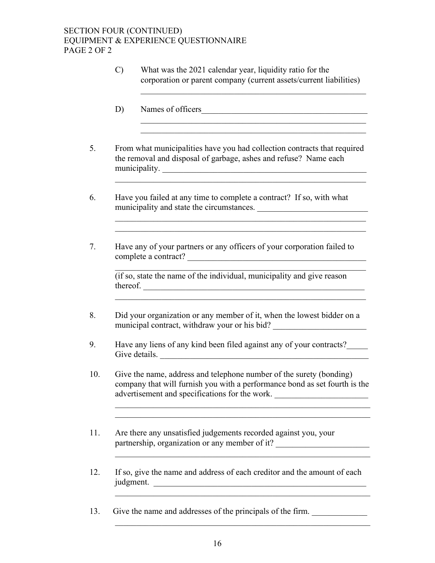# SECTION FOUR (CONTINUED) EQUIPMENT & EXPERIENCE QUESTIONNAIRE PAGE 2 OF 2

- C) What was the 2021 calendar year, liquidity ratio for the corporation or parent company (current assets/current liabilities)
- D) Names of officers
- 5. From what municipalities have you had collection contracts that required the removal and disposal of garbage, ashes and refuse? Name each municipality. \_\_\_\_\_\_\_\_\_\_\_\_\_\_\_\_\_\_\_\_\_\_\_\_\_\_\_\_\_\_\_\_\_\_\_\_\_\_\_\_\_\_\_\_\_\_\_\_
- 6. Have you failed at any time to complete a contract? If so, with what municipality and state the circumstances. \_\_\_\_\_\_\_\_\_\_\_\_\_\_\_\_\_\_\_\_\_\_\_\_\_\_
- 7. Have any of your partners or any officers of your corporation failed to complete a contract?

 (if so, state the name of the individual, municipality and give reason thereof.  $\qquad \qquad$ 

 $\mathcal{L}_\text{max} = \mathcal{L}_\text{max} = \mathcal{L}_\text{max} = \mathcal{L}_\text{max} = \mathcal{L}_\text{max} = \mathcal{L}_\text{max} = \mathcal{L}_\text{max} = \mathcal{L}_\text{max} = \mathcal{L}_\text{max} = \mathcal{L}_\text{max} = \mathcal{L}_\text{max} = \mathcal{L}_\text{max} = \mathcal{L}_\text{max} = \mathcal{L}_\text{max} = \mathcal{L}_\text{max} = \mathcal{L}_\text{max} = \mathcal{L}_\text{max} = \mathcal{L}_\text{max} = \mathcal{$ 

 $\mathcal{L}_\text{max} = \mathcal{L}_\text{max} = \mathcal{L}_\text{max} = \mathcal{L}_\text{max} = \mathcal{L}_\text{max} = \mathcal{L}_\text{max} = \mathcal{L}_\text{max} = \mathcal{L}_\text{max} = \mathcal{L}_\text{max} = \mathcal{L}_\text{max} = \mathcal{L}_\text{max} = \mathcal{L}_\text{max} = \mathcal{L}_\text{max} = \mathcal{L}_\text{max} = \mathcal{L}_\text{max} = \mathcal{L}_\text{max} = \mathcal{L}_\text{max} = \mathcal{L}_\text{max} = \mathcal{$ 

- 8. Did your organization or any member of it, when the lowest bidder on a municipal contract, withdraw your or his bid?
- 9. Have any liens of any kind been filed against any of your contracts?\_\_\_\_\_ Give details.
- 10. Give the name, address and telephone number of the surety (bonding) company that will furnish you with a performance bond as set fourth is the advertisement and specifications for the work. \_\_\_\_\_\_\_\_\_\_\_\_\_\_\_\_\_\_\_\_\_\_\_\_\_\_\_\_\_\_\_\_\_

 $\mathcal{L}_\text{max} = \frac{1}{2} \sum_{i=1}^n \frac{1}{2} \sum_{i=1}^n \frac{1}{2} \sum_{i=1}^n \frac{1}{2} \sum_{i=1}^n \frac{1}{2} \sum_{i=1}^n \frac{1}{2} \sum_{i=1}^n \frac{1}{2} \sum_{i=1}^n \frac{1}{2} \sum_{i=1}^n \frac{1}{2} \sum_{i=1}^n \frac{1}{2} \sum_{i=1}^n \frac{1}{2} \sum_{i=1}^n \frac{1}{2} \sum_{i=1}^n \frac{1}{2} \sum_{i=1}^n$ 

- 11. Are there any unsatisfied judgements recorded against you, your partnership, organization or any member of it?
- 12. If so, give the name and address of each creditor and the amount of each judgment.

13. Give the name and addresses of the principals of the firm.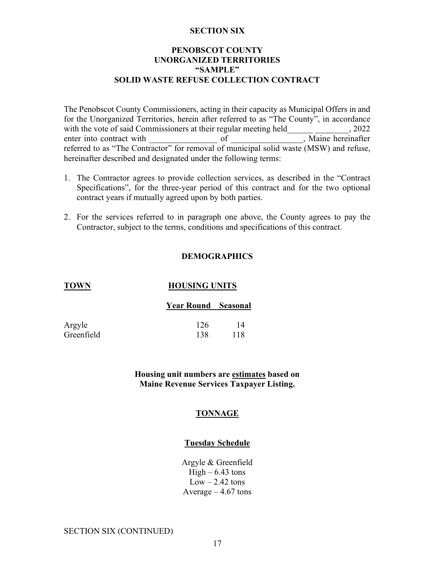#### SECTION SIX

## PENOBSCOT COUNTY UNORGANIZED TERRITORIES "SAMPLE" SOLID WASTE REFUSE COLLECTION CONTRACT

The Penobscot County Commissioners, acting in their capacity as Municipal Offers in and for the Unorganized Territories, herein after referred to as "The County", in accordance with the vote of said Commissioners at their regular meeting held\_\_\_\_\_\_\_\_\_\_\_\_, 2022<br>enter into contract with of contract  $\frac{1}{\sqrt{2\pi}}$ . Maine hereinafter enter into contract with  $\qquad \qquad$  of referred to as "The Contractor" for removal of municipal solid waste (MSW) and refuse, hereinafter described and designated under the following terms:

- 1. The Contractor agrees to provide collection services, as described in the "Contract Specifications", for the three-year period of this contract and for the two optional contract years if mutually agreed upon by both parties.
- 2. For the services referred to in paragraph one above, the County agrees to pay the Contractor, subject to the terms, conditions and specifications of this contract.

#### DEMOGRAPHICS

| <b>TOWN</b> | <b>HOUSING UNITS</b>       |     |  |
|-------------|----------------------------|-----|--|
|             | <b>Year Round</b> Seasonal |     |  |
| Argyle      | 126                        | 14  |  |
| Greenfield  | 138                        | 118 |  |

Housing unit numbers are estimates based on Maine Revenue Services Taxpayer Listing.

#### TONNAGE

#### Tuesday Schedule

Argyle & Greenfield  $High - 6.43$  tons  $Low - 2.42$  tons Average – 4.67 tons